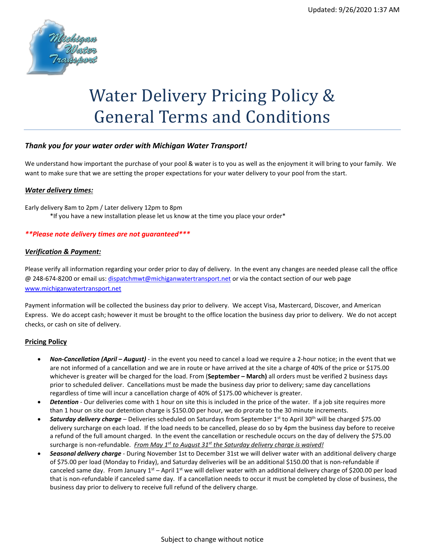

# Water Delivery Pricing Policy & General Terms and Conditions

## *Thank you for your water order with Michigan Water Transport!*

We understand how important the purchase of your pool & water is to you as well as the enjoyment it will bring to your family. We want to make sure that we are setting the proper expectations for your water delivery to your pool from the start.

#### *Water delivery times:*

Early delivery 8am to 2pm / Later delivery 12pm to 8pm \*If you have a new installation please let us know at the time you place your order\*

#### *\*\*Please note delivery times are not guaranteed\*\*\**

### *Verification & Payment:*

Please verify all information regarding your order prior to day of delivery. In the event any changes are needed please call the office @ 248-674-8200 or email us: [dispatchmwt@michiganwatertransport.net](mailto:dispatchmwt@michiganwatertransport.net) or via the contact section of our web page [www.michiganwatertransport.net](http://www.michiganwatertransport.net/)

Payment information will be collected the business day prior to delivery. We accept Visa, Mastercard, Discover, and American Express. We do accept cash; however it must be brought to the office location the business day prior to delivery. We do not accept checks, or cash on site of delivery.

#### **Pricing Policy**

- *Non-Cancellation (April – August)*  in the event you need to cancel a load we require a 2-hour notice; in the event that we are not informed of a cancellation and we are in route or have arrived at the site a charge of 40% of the price or \$175.00 whichever is greater will be charged for the load. From (**September – March)** all orders must be verified 2 business days prior to scheduled deliver. Cancellations must be made the business day prior to delivery; same day cancellations regardless of time will incur a cancellation charge of 40% of \$175.00 whichever is greater.
- *Detention* Our deliveries come with 1 hour on site this is included in the price of the water. If a job site requires more than 1 hour on site our detention charge is \$150.00 per hour, we do prorate to the 30 minute increments.
- *Saturday delivery charge* Deliveries scheduled on Saturdays from September 1st to April 30th will be charged \$75.00 delivery surcharge on each load. If the load needs to be cancelled, please do so by 4pm the business day before to receive a refund of the full amount charged. In the event the cancellation or reschedule occurs on the day of delivery the \$75.00 surcharge is non-refundable. *From May 1st to August 31st the Saturday delivery charge is waived!*
- *Seasonal delivery charge* During November 1st to December 31st we will deliver water with an additional delivery charge of \$75.00 per load (Monday to Friday), and Saturday deliveries will be an additional \$150.00 that is non-refundable if canceled same day. From January  $1^{st}$  – April  $1^{st}$  we will deliver water with an additional delivery charge of \$200.00 per load that is non-refundable if canceled same day. If a cancellation needs to occur it must be completed by close of business, the business day prior to delivery to receive full refund of the delivery charge.